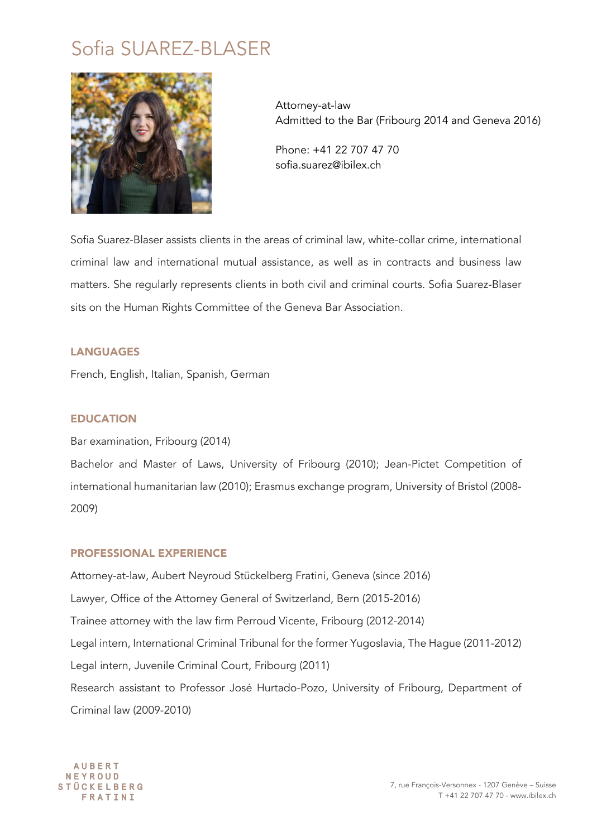# Sofia SUAREZ-BLASER



Attorney-at-law Admitted to the Bar (Fribourg 2014 and Geneva 2016)

Phone: +41 22 707 47 70 sofia.suarez@ibilex.ch

Sofia Suarez-Blaser assists clients in the areas of criminal law, white-collar crime, international criminal law and international mutual assistance, as well as in contracts and business law matters. She regularly represents clients in both civil and criminal courts. Sofia Suarez-Blaser sits on the Human Rights Committee of the Geneva Bar Association.

## LANGUAGES

French, English, Italian, Spanish, German

#### EDUCATION

Bar examination, Fribourg (2014)

Bachelor and Master of Laws, University of Fribourg (2010); Jean-Pictet Competition of international humanitarian law (2010); Erasmus exchange program, University of Bristol (2008- 2009)

#### PROFESSIONAL EXPERIENCE

Attorney-at-law, Aubert Neyroud Stückelberg Fratini, Geneva (since 2016) Lawyer, Office of the Attorney General of Switzerland, Bern (2015-2016) Trainee attorney with the law firm Perroud Vicente, Fribourg (2012-2014) Legal intern, International Criminal Tribunal for the former Yugoslavia, The Hague (2011-2012) Legal intern, Juvenile Criminal Court, Fribourg (2011) Research assistant to Professor José Hurtado-Pozo, University of Fribourg, Department of Criminal law (2009-2010)